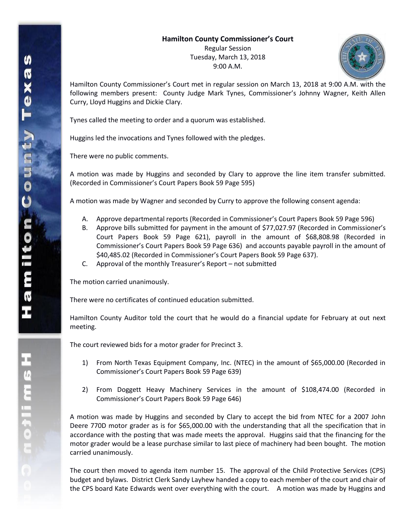Regular Session Tuesday, March 13, 2018 9:00 A.M.



Hamilton County Commissioner's Court met in regular session on March 13, 2018 at 9:00 A.M. with the following members present: County Judge Mark Tynes, Commissioner's Johnny Wagner, Keith Allen Curry, Lloyd Huggins and Dickie Clary.

Tynes called the meeting to order and a quorum was established.

Huggins led the invocations and Tynes followed with the pledges.

There were no public comments.

A motion was made by Huggins and seconded by Clary to approve the line item transfer submitted. (Recorded in Commissioner's Court Papers Book 59 Page 595)

A motion was made by Wagner and seconded by Curry to approve the following consent agenda:

- A. Approve departmental reports (Recorded in Commissioner's Court Papers Book 59 Page 596)
- B. Approve bills submitted for payment in the amount of \$77,027.97 (Recorded in Commissioner's Court Papers Book 59 Page 621), payroll in the amount of \$68,808.98 (Recorded in Commissioner's Court Papers Book 59 Page 636) and accounts payable payroll in the amount of \$40,485.02 (Recorded in Commissioner's Court Papers Book 59 Page 637).
- C. Approval of the monthly Treasurer's Report not submitted

The motion carried unanimously.

There were no certificates of continued education submitted.

Hamilton County Auditor told the court that he would do a financial update for February at out next meeting.

The court reviewed bids for a motor grader for Precinct 3.

- 1) From North Texas Equipment Company, Inc. (NTEC) in the amount of \$65,000.00 (Recorded in Commissioner's Court Papers Book 59 Page 639)
- 2) From Doggett Heavy Machinery Services in the amount of \$108,474.00 (Recorded in Commissioner's Court Papers Book 59 Page 646)

A motion was made by Huggins and seconded by Clary to accept the bid from NTEC for a 2007 John Deere 770D motor grader as is for \$65,000.00 with the understanding that all the specification that in accordance with the posting that was made meets the approval. Huggins said that the financing for the motor grader would be a lease purchase similar to last piece of machinery had been bought. The motion carried unanimously.

The court then moved to agenda item number 15. The approval of the Child Protective Services (CPS) budget and bylaws. District Clerk Sandy Layhew handed a copy to each member of the court and chair of the CPS board Kate Edwards went over everything with the court. A motion was made by Huggins and